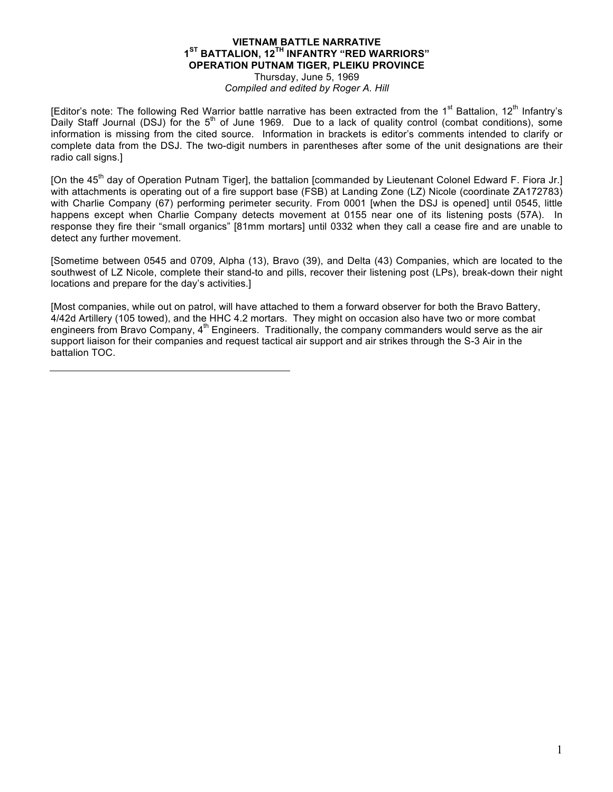## **VIETNAM BATTLE NARRATIVE 1ST BATTALION, 12TH INFANTRY "RED WARRIORS" OPERATION PUTNAM TIGER, PLEIKU PROVINCE** Thursday, June 5, 1969

*Compiled and edited by Roger A. Hill*

[Editor's note: The following Red Warrior battle narrative has been extracted from the 1<sup>st</sup> Battalion, 12<sup>th</sup> Infantry's Daily Staff Journal (DSJ) for the  $5<sup>th</sup>$  of June 1969. Due to a lack of quality control (combat conditions), some information is missing from the cited source. Information in brackets is editor's comments intended to clarify or complete data from the DSJ. The two-digit numbers in parentheses after some of the unit designations are their radio call signs.]

[On the  $45<sup>th</sup>$  day of Operation Putnam Tiger], the battalion [commanded by Lieutenant Colonel Edward F. Fiora Jr.] with attachments is operating out of a fire support base (FSB) at Landing Zone (LZ) Nicole (coordinate ZA172783) with Charlie Company (67) performing perimeter security. From 0001 [when the DSJ is opened] until 0545, little happens except when Charlie Company detects movement at 0155 near one of its listening posts (57A). In response they fire their "small organics" [81mm mortars] until 0332 when they call a cease fire and are unable to detect any further movement.

[Sometime between 0545 and 0709, Alpha (13), Bravo (39), and Delta (43) Companies, which are located to the southwest of LZ Nicole, complete their stand-to and pills, recover their listening post (LPs), break-down their night locations and prepare for the day's activities.]

[Most companies, while out on patrol, will have attached to them a forward observer for both the Bravo Battery, 4/42d Artillery (105 towed), and the HHC 4.2 mortars. They might on occasion also have two or more combat engineers from Bravo Company,  $4<sup>th</sup>$  Engineers. Traditionally, the company commanders would serve as the air support liaison for their companies and request tactical air support and air strikes through the S-3 Air in the battalion TOC.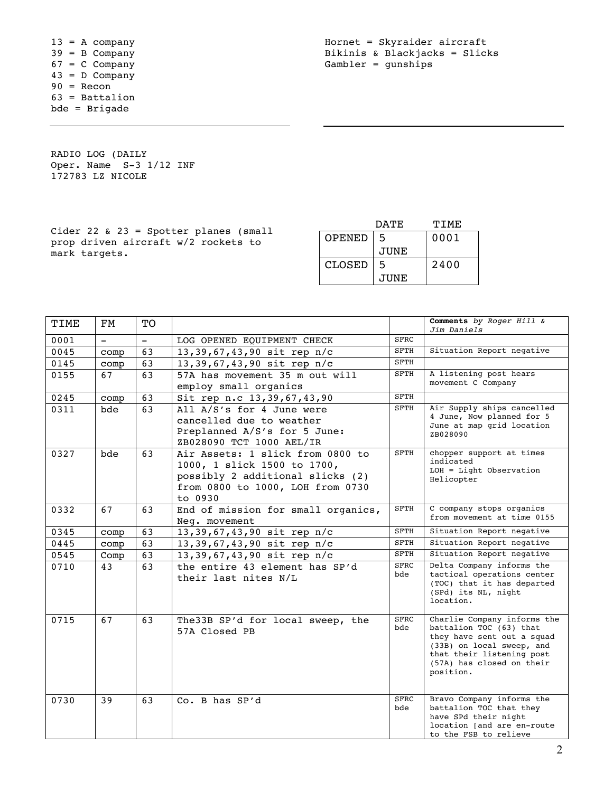$13 = A$  company 39 = B Company  $67 = C$  Company 43 = D Company  $90 =$  Recon 63 = Battalion bde = Brigade

Hornet = Skyraider aircraft Bikinis & Blackjacks = Slicks Gambler = gunships

RADIO LOG (DAILY Oper. Name  $S-3$   $1/12$  INF 172783 LZ NICOLE

|                                                                              |        | חת מח | TTMF. |
|------------------------------------------------------------------------------|--------|-------|-------|
| Cider 22 & 23 = Spotter planes (small<br>prop driven aircraft w/2 rockets to | OPENED | -5    | 0001  |
| mark tarqets.                                                                |        | JUNE  |       |
|                                                                              | CLOSED |       | 2400  |
|                                                                              |        | JUNE  |       |

| TIME | FM       | <b>TO</b> |                                     |             | Comments by Roger Hill &                                |
|------|----------|-----------|-------------------------------------|-------------|---------------------------------------------------------|
| 0001 | $\equiv$ | $\equiv$  | LOG OPENED EQUIPMENT CHECK          | <b>SFRC</b> | Jim Daniels                                             |
| 0045 | comp     | 63        | 13,39,67,43,90 sit rep n/c          | <b>SFTH</b> | Situation Report negative                               |
| 0145 | comp     | 63        | 13,39,67,43,90 sit rep n/c          | <b>SFTH</b> |                                                         |
| 0155 | 67       | 63        | 57A has movement 35 m out will      | <b>SFTH</b> | A listening post hears                                  |
|      |          |           | employ small organics               |             | movement C Company                                      |
| 0245 | comp     | 63        | Sit rep n.c 13, 39, 67, 43, 90      | SFTH        |                                                         |
| 0311 | bde      | 63        | All A/S's for 4 June were           | <b>SFTH</b> | Air Supply ships cancelled                              |
|      |          |           | cancelled due to weather            |             | 4 June, Now planned for 5                               |
|      |          |           | Preplanned A/S's for 5 June:        |             | June at map grid location                               |
|      |          |           | ZB028090 TCT 1000 AEL/IR            |             | ZB028090                                                |
| 0327 | bde      | 63        | Air Assets: 1 slick from 0800 to    | <b>SFTH</b> | chopper support at times                                |
|      |          |           | 1000, 1 slick 1500 to 1700,         |             | indicated                                               |
|      |          |           | possibly 2 additional slicks (2)    |             | $LOH = Light Observatory$                               |
|      |          |           | from 0800 to 1000, LOH from 0730    |             | Helicopter                                              |
|      |          |           | to 0930                             |             |                                                         |
| 0332 | 67       | 63        | End of mission for small organics,  | <b>SFTH</b> | C company stops organics                                |
|      |          |           | Neg. movement                       |             | from movement at time 0155                              |
| 0345 | comp     | 63        | 13,39,67,43,90 sit rep n/c          | SFTH        | Situation Report negative                               |
| 0445 | comp     | 63        | 13,39,67,43,90 sit rep n/c          | <b>SFTH</b> | Situation Report negative                               |
| 0545 | Comp     | 63        | 13,39,67,43,90 sit rep n/c          | SFTH        | Situation Report negative                               |
| 0710 | 43       | 63        | the entire 43 element has SP'd      | <b>SFRC</b> | Delta Company informs the                               |
|      |          |           | their last nites N/L                | bde         | tactical operations center                              |
|      |          |           |                                     |             | (TOC) that it has departed                              |
|      |          |           |                                     |             | (SPd) its NL, night<br>location.                        |
|      |          |           |                                     |             |                                                         |
| 0715 | 67       | 63        | The 33B SP'd for local sweep, the   | <b>SFRC</b> | Charlie Company informs the                             |
|      |          |           | 57A Closed PB                       | bde         | battalion TOC (63) that                                 |
|      |          |           |                                     |             | they have sent out a squad<br>(33B) on local sweep, and |
|      |          |           |                                     |             | that their listening post                               |
|      |          |           |                                     |             | (57A) has closed on their                               |
|      |          |           |                                     |             | position.                                               |
|      |          |           |                                     |             |                                                         |
| 0730 | 39       | 63        | $\overline{\text{Co}}$ . B has SP'd | SFRC        | Bravo Company informs the                               |
|      |          |           |                                     | bde         | battalion TOC that they                                 |
|      |          |           |                                     |             | have SPd their night<br>location [and are en-route      |
|      |          |           |                                     |             | to the FSB to relieve                                   |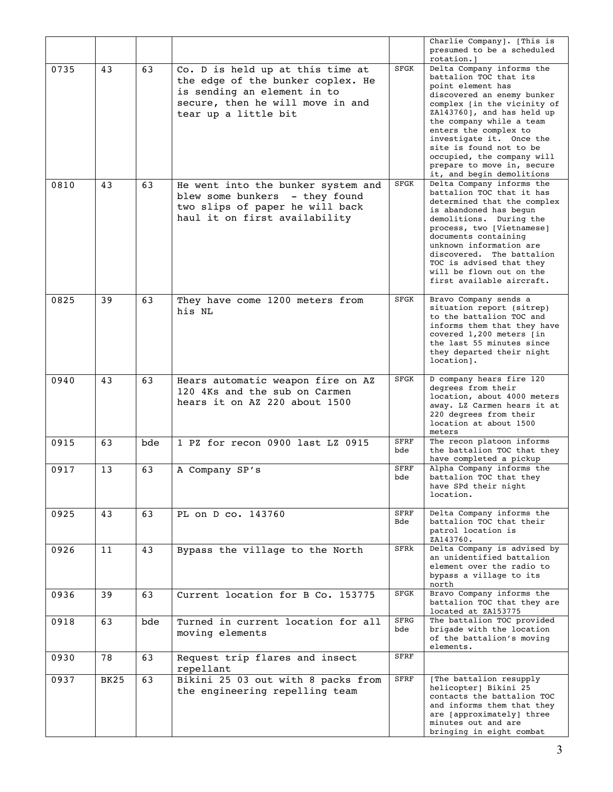|      |             |     |                                                                                                                                                                  |                    | Charlie Company]. [This is<br>presumed to be a scheduled<br>rotation.]                                                                                                                                                                                                                                                                                                   |
|------|-------------|-----|------------------------------------------------------------------------------------------------------------------------------------------------------------------|--------------------|--------------------------------------------------------------------------------------------------------------------------------------------------------------------------------------------------------------------------------------------------------------------------------------------------------------------------------------------------------------------------|
| 0735 | 43          | 63  | Co. D is held up at this time at<br>the edge of the bunker coplex. He<br>is sending an element in to<br>secure, then he will move in and<br>tear up a little bit | SFGK               | Delta Company informs the<br>battalion TOC that its<br>point element has<br>discovered an enemy bunker<br>complex [in the vicinity of<br>ZA143760], and has held up<br>the company while a team<br>enters the complex to<br>investigate it. Once the<br>site is found not to be<br>occupied, the company will<br>prepare to move in, secure<br>it, and begin demolitions |
| 0810 | 43          | 63  | He went into the bunker system and<br>blew some bunkers - they found<br>two slips of paper he will back<br>haul it on first availability                         | <b>SFGK</b>        | Delta Company informs the<br>battalion TOC that it has<br>determined that the complex<br>is abandoned has begun<br>demolitions. During the<br>process, two [Vietnamese]<br>documents containing<br>unknown information are<br>discovered. The battalion<br>TOC is advised that they<br>will be flown out on the<br>first available aircraft.                             |
| 0825 | 39          | 63  | They have come 1200 meters from<br>his NL                                                                                                                        | <b>SFGK</b>        | Bravo Company sends a<br>situation report (sitrep)<br>to the battalion TOC and<br>informs them that they have<br>covered 1,200 meters [in<br>the last 55 minutes since<br>they departed their night<br>location].                                                                                                                                                        |
| 0940 | 43          | 63  | Hears automatic weapon fire on AZ<br>120 4Ks and the sub on Carmen<br>hears it on AZ 220 about 1500                                                              | SFGK               | D company hears fire 120<br>degrees from their<br>location, about 4000 meters<br>away. LZ Carmen hears it at<br>220 degrees from their<br>location at about 1500<br>meters                                                                                                                                                                                               |
| 0915 | 63          | bde | 1 PZ for recon 0900 last LZ 0915                                                                                                                                 | <b>SFRF</b><br>bde | The recon platoon informs<br>the battalion TOC that they<br>have completed a pickup                                                                                                                                                                                                                                                                                      |
| 0917 | 13          | 63  | A Company SP's                                                                                                                                                   | <b>SFRF</b><br>bde | Alpha Company informs the<br>battalion TOC that they<br>have SPd their night<br>location.                                                                                                                                                                                                                                                                                |
| 0925 | 43          | 63  | PL on D co. 143760                                                                                                                                               | <b>SFRF</b><br>Bde | Delta Company informs the<br>battalion TOC that their<br>patrol location is<br>ZA143760.                                                                                                                                                                                                                                                                                 |
| 0926 | 11          | 43  | Bypass the village to the North                                                                                                                                  | SFRk               | Delta Company is advised by<br>an unidentified battalion<br>element over the radio to<br>bypass a village to its<br>north                                                                                                                                                                                                                                                |
| 0936 | 39          | 63  | Current location for B Co. 153775                                                                                                                                | SFGK               | Bravo Company informs the<br>battalion TOC that they are<br>located at ZA153775                                                                                                                                                                                                                                                                                          |
| 0918 | 63          | bde | Turned in current location for all<br>moving elements                                                                                                            | <b>SFRG</b><br>bde | The battalion TOC provided<br>brigade with the location<br>of the battalion's moving<br>elements.                                                                                                                                                                                                                                                                        |
| 0930 | 78          | 63  | Request trip flares and insect<br>repellant                                                                                                                      | <b>SFRF</b>        |                                                                                                                                                                                                                                                                                                                                                                          |
| 0937 | <b>BK25</b> | 63  | Bikini 25 03 out with 8 packs from<br>the engineering repelling team                                                                                             | <b>SFRF</b>        | [The battalion resupply<br>helicopter] Bikini 25<br>contacts the battalion TOC<br>and informs them that they<br>are [approximately] three<br>minutes out and are<br>bringing in eight combat                                                                                                                                                                             |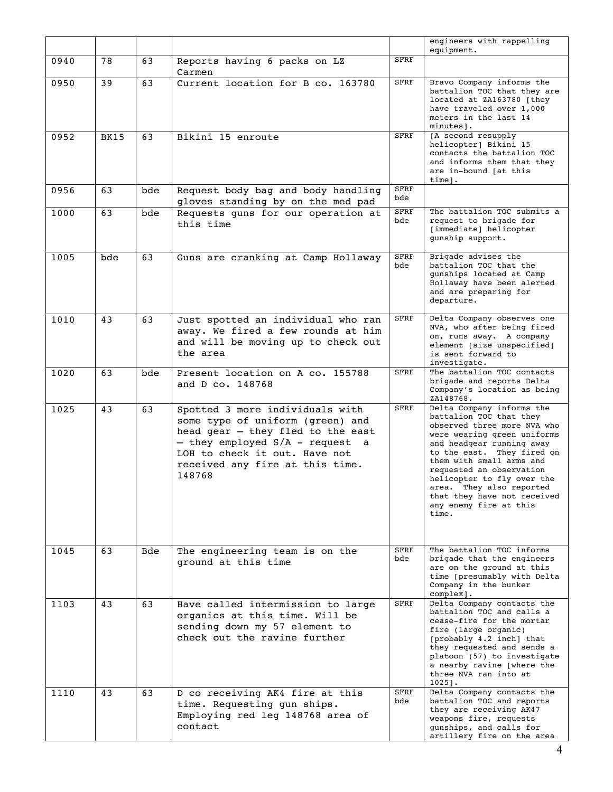|      |             |     |                                                                                                                                                                                                                           |                    | engineers with rappelling<br>equipment.                                                                                                                                                                                                                                                                                                                           |
|------|-------------|-----|---------------------------------------------------------------------------------------------------------------------------------------------------------------------------------------------------------------------------|--------------------|-------------------------------------------------------------------------------------------------------------------------------------------------------------------------------------------------------------------------------------------------------------------------------------------------------------------------------------------------------------------|
| 0940 | 78          | 63  | Reports having 6 packs on LZ<br>Carmen                                                                                                                                                                                    | <b>SFRF</b>        |                                                                                                                                                                                                                                                                                                                                                                   |
| 0950 | 39          | 63  | Current location for B co. 163780                                                                                                                                                                                         | <b>SFRF</b>        | Bravo Company informs the<br>battalion TOC that they are<br>located at ZA163780 [they<br>have traveled over 1,000<br>meters in the last 14<br>minutes].                                                                                                                                                                                                           |
| 0952 | <b>BK15</b> | 63  | Bikini 15 enroute                                                                                                                                                                                                         | <b>SFRF</b>        | [A second resupply<br>helicopter] Bikini 15<br>contacts the battalion TOC<br>and informs them that they<br>are in-bound [at this<br>time].                                                                                                                                                                                                                        |
| 0956 | 63          | bde | Request body bag and body handling<br>gloves standing by on the med pad                                                                                                                                                   | <b>SFRF</b><br>bde |                                                                                                                                                                                                                                                                                                                                                                   |
| 1000 | 63          | bde | Requests guns for our operation at<br>this time                                                                                                                                                                           | <b>SFRF</b><br>bde | The battalion TOC submits a<br>request to brigade for<br>[immediate] helicopter<br>gunship support.                                                                                                                                                                                                                                                               |
| 1005 | bde         | 63  | Guns are cranking at Camp Hollaway                                                                                                                                                                                        | <b>SFRF</b><br>bde | Brigade advises the<br>battalion TOC that the<br>qunships located at Camp<br>Hollaway have been alerted<br>and are preparing for<br>departure.                                                                                                                                                                                                                    |
| 1010 | 43          | 63  | Just spotted an individual who ran<br>away. We fired a few rounds at him<br>and will be moving up to check out<br>the area                                                                                                | <b>SFRF</b>        | Delta Company observes one<br>NVA, who after being fired<br>on, runs away. A company<br>element [size unspecified]<br>is sent forward to<br>investigate.                                                                                                                                                                                                          |
| 1020 | 63          | bde | Present location on A co. 155788<br>and D co. 148768                                                                                                                                                                      | <b>SFRF</b>        | The battalion TOC contacts<br>brigade and reports Delta<br>Company's location as being<br>ZA148768.                                                                                                                                                                                                                                                               |
| 1025 | 43          | 63  | Spotted 3 more individuals with<br>some type of uniform (green) and<br>head gear - they fled to the east<br>- they employed S/A - request a<br>LOH to check it out. Have not<br>received any fire at this time.<br>148768 | <b>SFRF</b>        | Delta Company informs the<br>battalion TOC that they<br>observed three more NVA who<br>were wearing green uniforms<br>and headgear running away<br>to the east. They fired on<br>them with small arms and<br>requested an observation<br>helicopter to fly over the<br>area. They also reported<br>that they have not received<br>any enemy fire at this<br>time. |
| 1045 | 63          | Bde | The engineering team is on the<br>ground at this time                                                                                                                                                                     | <b>SFRF</b><br>bde | The battalion TOC informs<br>brigade that the engineers<br>are on the ground at this<br>time [presumably with Delta<br>Company in the bunker<br>complex].                                                                                                                                                                                                         |
| 1103 | 43          | 63  | Have called intermission to large<br>organics at this time. Will be<br>sending down my 57 element to<br>check out the ravine further                                                                                      | SFRF               | Delta Company contacts the<br>battalion TOC and calls a<br>cease-fire for the mortar<br>fire (large organic)<br>[probably 4.2 inch] that<br>they requested and sends a<br>platoon (57) to investigate<br>a nearby ravine [where the<br>three NVA ran into at<br>$1025$ ].                                                                                         |
| 1110 | 43          | 63  | D co receiving AK4 fire at this<br>time. Requesting gun ships.<br>Employing red leg 148768 area of<br>contact                                                                                                             | <b>SFRF</b><br>bde | Delta Company contacts the<br>battalion TOC and reports<br>they are receiving AK47<br>weapons fire, requests<br>qunships, and calls for<br>artillery fire on the area                                                                                                                                                                                             |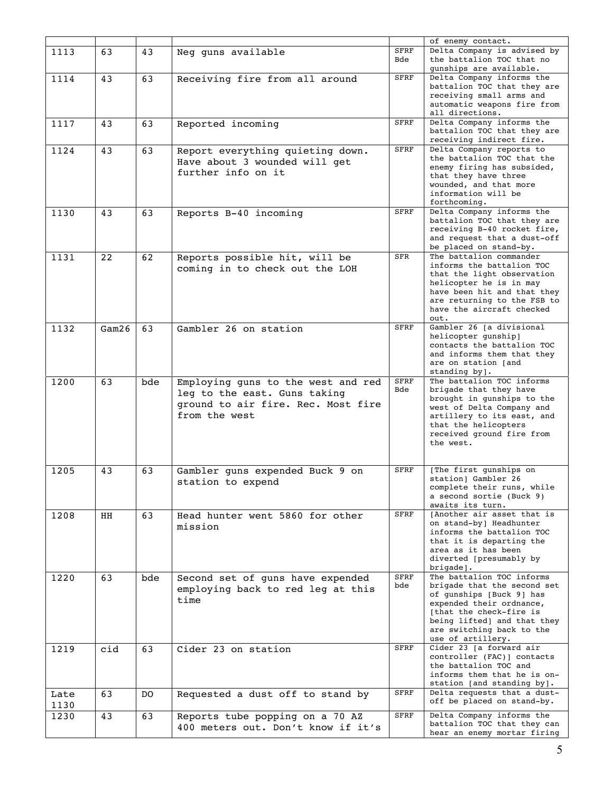|              |       |     |                                                                                                                           |                    | of enemy contact.                                                                                                                                                                                                            |
|--------------|-------|-----|---------------------------------------------------------------------------------------------------------------------------|--------------------|------------------------------------------------------------------------------------------------------------------------------------------------------------------------------------------------------------------------------|
| 1113         | 63    | 43  | Neg guns available                                                                                                        | <b>SFRF</b><br>Bde | Delta Company is advised by<br>the battalion TOC that no<br>qunships are available.                                                                                                                                          |
| 1114         | 43    | 63  | Receiving fire from all around                                                                                            | <b>SFRF</b>        | Delta Company informs the<br>battalion TOC that they are<br>receiving small arms and<br>automatic weapons fire from<br>all directions.                                                                                       |
| 1117         | 43    | 63  | Reported incoming                                                                                                         | <b>SFRF</b>        | Delta Company informs the<br>battalion TOC that they are<br>receiving indirect fire.                                                                                                                                         |
| 1124         | 43    | 63  | Report everything quieting down.<br>Have about 3 wounded will get<br>further info on it                                   | <b>SFRF</b>        | Delta Company reports to<br>the battalion TOC that the<br>enemy firing has subsided,<br>that they have three<br>wounded, and that more<br>information will be<br>forthcoming.                                                |
| 1130         | 43    | 63  | Reports B-40 incoming                                                                                                     | <b>SFRF</b>        | Delta Company informs the<br>battalion TOC that they are<br>receiving B-40 rocket fire,<br>and request that a dust-off<br>be placed on stand-by.                                                                             |
| 1131         | 22    | 62  | Reports possible hit, will be<br>coming in to check out the LOH                                                           | <b>SFR</b>         | The battalion commander<br>informs the battalion TOC<br>that the light observation<br>helicopter he is in may<br>have been hit and that they<br>are returning to the FSB to<br>have the aircraft checked<br>out.             |
| 1132         | Gam26 | 63  | Gambler 26 on station                                                                                                     | <b>SFRF</b>        | Gambler 26 [a divisional<br>helicopter gunship]<br>contacts the battalion TOC<br>and informs them that they<br>are on station [and<br>standing by].                                                                          |
| 1200         | 63    | bde | Employing guns to the west and red<br>leg to the east. Guns taking<br>ground to air fire. Rec. Most fire<br>from the west | <b>SFRF</b><br>Bde | The battalion TOC informs<br>brigade that they have<br>brought in gunships to the<br>west of Delta Company and<br>artillery to its east, and<br>that the helicopters<br>received ground fire from<br>the west.               |
| 1205         | 43    | 63  | Gambler guns expended Buck 9 on<br>station to expend                                                                      | <b>SFRF</b>        | [The first gunships on<br>station] Gambler 26<br>complete their runs, while<br>a second sortie (Buck 9)<br>awaits its turn.                                                                                                  |
| 1208         | HH    | 63  | Head hunter went 5860 for other<br>mission                                                                                | <b>SFRF</b>        | [Another air asset that is<br>on stand-by] Headhunter<br>informs the battalion TOC<br>that it is departing the<br>area as it has been<br>diverted [presumably by<br>$bridge$ ].                                              |
| 1220         | 63    | bde | Second set of guns have expended<br>employing back to red leg at this<br>time                                             | <b>SFRF</b><br>bde | The battalion TOC informs<br>brigade that the second set<br>of qunships [Buck 9] has<br>expended their ordnance,<br>[that the check-fire is<br>being lifted] and that they<br>are switching back to the<br>use of artillery. |
| 1219         | cid   | 63  | Cider 23 on station                                                                                                       | <b>SFRF</b>        | Cider 23 [a forward air<br>controller (FAC)] contacts<br>the battalion TOC and<br>informs them that he is on-<br>station [and standing by].                                                                                  |
| Late<br>1130 | 63    | DO. | Requested a dust off to stand by                                                                                          | <b>SFRF</b>        | Delta requests that a dust-<br>off be placed on stand-by.                                                                                                                                                                    |
| 1230         | 43    | 63  | Reports tube popping on a 70 AZ<br>400 meters out. Don't know if it's                                                     | <b>SFRF</b>        | Delta Company informs the<br>battalion TOC that they can<br>hear an enemy mortar firing                                                                                                                                      |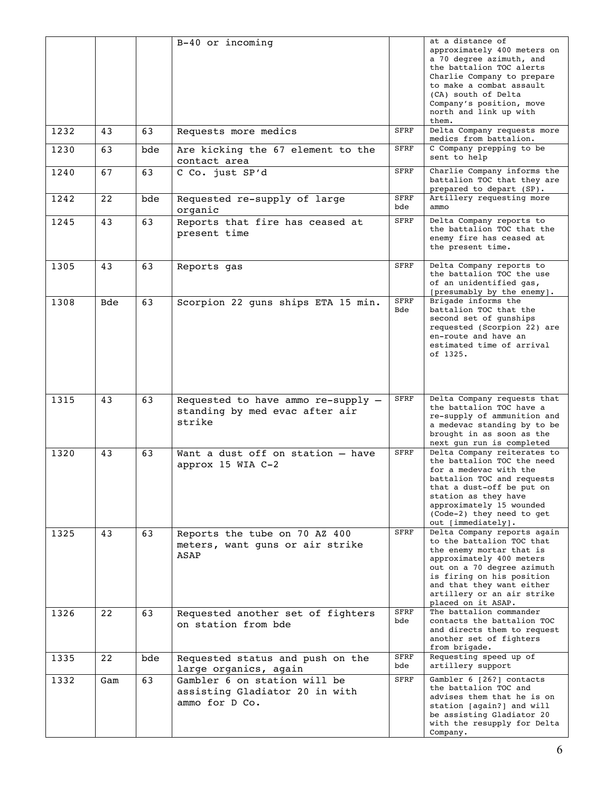|      |     |     | B-40 or incoming                                                                 |             | at a distance of<br>approximately 400 meters on<br>a 70 degree azimuth, and<br>the battalion TOC alerts<br>Charlie Company to prepare<br>to make a combat assault<br>(CA) south of Delta<br>Company's position, move<br>north and link up with<br>them.      |
|------|-----|-----|----------------------------------------------------------------------------------|-------------|--------------------------------------------------------------------------------------------------------------------------------------------------------------------------------------------------------------------------------------------------------------|
| 1232 | 43  | 63  | Requests more medics                                                             | <b>SFRF</b> | Delta Company requests more<br>medics from battalion.                                                                                                                                                                                                        |
| 1230 | 63  | bde | Are kicking the 67 element to the<br>contact area                                | <b>SFRF</b> | C Company prepping to be<br>sent to help                                                                                                                                                                                                                     |
| 1240 | 67  | 63  | C Co. just SP'd                                                                  | <b>SFRF</b> | Charlie Company informs the<br>battalion TOC that they are<br>prepared to depart (SP).                                                                                                                                                                       |
| 1242 | 22  | bde | Requested re-supply of large<br>organic                                          | SFRF<br>bde | Artillery requesting more<br>ammo                                                                                                                                                                                                                            |
| 1245 | 43  | 63  | Reports that fire has ceased at<br>present time                                  | <b>SFRF</b> | Delta Company reports to<br>the battalion TOC that the<br>enemy fire has ceased at<br>the present time.                                                                                                                                                      |
| 1305 | 43  | 63  | Reports gas                                                                      | <b>SFRF</b> | Delta Company reports to<br>the battalion TOC the use<br>of an unidentified gas,<br>[presumably by the enemy].                                                                                                                                               |
| 1308 | Bde | 63  | Scorpion 22 guns ships ETA 15 min.                                               | SFRF<br>Bde | Brigade informs the<br>battalion TOC that the<br>second set of qunships<br>requested (Scorpion 22) are<br>en-route and have an<br>estimated time of arrival<br>of 1325.                                                                                      |
| 1315 | 43  | 63  | Requested to have ammo re-supply -<br>standing by med evac after air<br>strike   | <b>SFRF</b> | Delta Company requests that<br>the battalion TOC have a<br>re-supply of ammunition and<br>a medevac standing by to be<br>brought in as soon as the<br>next qun run is completed                                                                              |
| 1320 | 43  | 63  | Want a dust off on station - have<br>approx 15 WIA C-2                           | SFRF        | Delta Company reiterates to<br>the battalion TOC the need<br>for a medevac with the<br>battalion TOC and requests<br>that a dust-off be put on<br>station as they have<br>approximately 15 wounded<br>(Code-2) they need to get<br>out [immediately].        |
| 1325 | 43  | 63  | Reports the tube on 70 AZ 400<br>meters, want guns or air strike<br>ASAP         | <b>SFRF</b> | Delta Company reports again<br>to the battalion TOC that<br>the enemy mortar that is<br>approximately 400 meters<br>out on a 70 degree azimuth<br>is firing on his position<br>and that they want either<br>artillery or an air strike<br>placed on it ASAP. |
| 1326 | 22  | 63  | Requested another set of fighters<br>on station from bde                         | SFRF<br>bde | The battalion commander<br>contacts the battalion TOC<br>and directs them to request<br>another set of fighters<br>from brigade.                                                                                                                             |
| 1335 | 22  | bde | Requested status and push on the<br>large organics, again                        | SFRF<br>bde | Requesting speed up of<br>artillery support                                                                                                                                                                                                                  |
| 1332 | Gam | 63  | Gambler 6 on station will be<br>assisting Gladiator 20 in with<br>ammo for D Co. | <b>SFRF</b> | Gambler 6 [26?] contacts<br>the battalion TOC and<br>advises them that he is on<br>station [aqain?] and will<br>be assisting Gladiator 20<br>with the resupply for Delta<br>Company.                                                                         |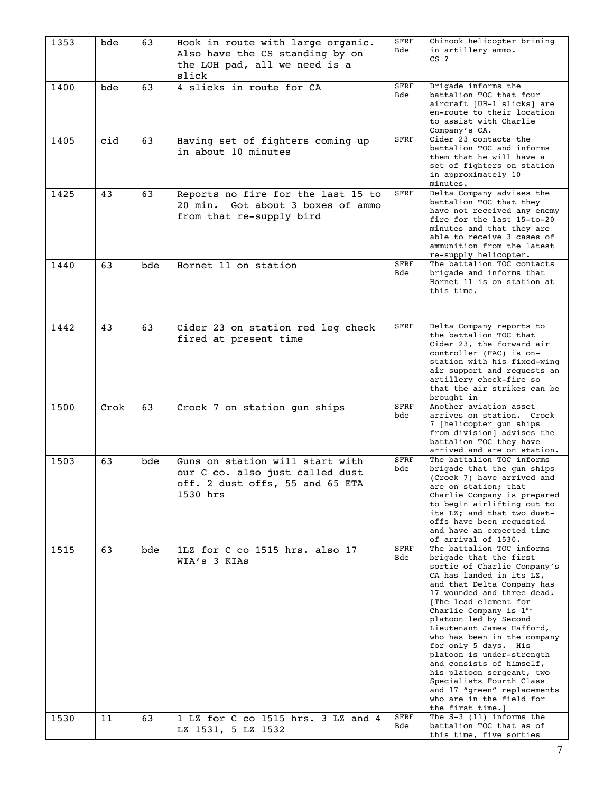| 1353 | bde  | 63  | Hook in route with large organic.<br>Also have the CS standing by on<br>the LOH pad, all we need is a<br>slick    | <b>SFRF</b><br>Bde | Chinook helicopter brining<br>in artillery ammo.<br>$CS$ ?                                                                                                                                                                                                                                                                                                                                                                                                                                                                                  |
|------|------|-----|-------------------------------------------------------------------------------------------------------------------|--------------------|---------------------------------------------------------------------------------------------------------------------------------------------------------------------------------------------------------------------------------------------------------------------------------------------------------------------------------------------------------------------------------------------------------------------------------------------------------------------------------------------------------------------------------------------|
| 1400 | bde  | 63  | 4 slicks in route for CA                                                                                          | <b>SFRF</b><br>Bde | Brigade informs the<br>battalion TOC that four<br>aircraft [UH-1 slicks] are<br>en-route to their location<br>to assist with Charlie<br>Company's CA.                                                                                                                                                                                                                                                                                                                                                                                       |
| 1405 | cid  | 63  | Having set of fighters coming up<br>in about 10 minutes                                                           | <b>SFRF</b>        | Cider 23 contacts the<br>battalion TOC and informs<br>them that he will have a<br>set of fighters on station<br>in approximately 10<br>minutes.                                                                                                                                                                                                                                                                                                                                                                                             |
| 1425 | 43   | 63  | Reports no fire for the last 15 to<br>Got about 3 boxes of ammo<br>20 min.<br>from that re-supply bird            | <b>SFRF</b>        | Delta Company advises the<br>battalion TOC that they<br>have not received any enemy<br>fire for the last 15-to-20<br>minutes and that they are<br>able to receive 3 cases of<br>ammunition from the latest<br>re-supply helicopter.                                                                                                                                                                                                                                                                                                         |
| 1440 | 63   | bde | Hornet 11 on station                                                                                              | <b>SFRF</b><br>Bde | The battalion TOC contacts<br>brigade and informs that<br>Hornet 11 is on station at<br>this time.                                                                                                                                                                                                                                                                                                                                                                                                                                          |
| 1442 | 43   | 63  | Cider 23 on station red leg check<br>fired at present time                                                        | <b>SFRF</b>        | Delta Company reports to<br>the battalion TOC that<br>Cider 23, the forward air<br>controller (FAC) is on-<br>station with his fixed-wing<br>air support and requests an<br>artillery check-fire so<br>that the air strikes can be<br>brought in                                                                                                                                                                                                                                                                                            |
| 1500 | Crok | 63  | Crock 7 on station gun ships                                                                                      | <b>SFRF</b><br>bde | Another aviation asset<br>arrives on station. Crock<br>7 [helicopter gun ships<br>from division] advises the<br>battalion TOC they have<br>arrived and are on station.                                                                                                                                                                                                                                                                                                                                                                      |
| 1503 | 63   | bde | Guns on station will start with<br>our C co. also just called dust<br>off. 2 dust offs, 55 and 65 ETA<br>1530 hrs | <b>SFRF</b><br>bde | The battalion TOC informs<br>brigade that the gun ships<br>(Crock 7) have arrived and<br>are on station; that<br>Charlie Company is prepared<br>to begin airlifting out to<br>its LZ; and that two dust-<br>offs have been requested<br>and have an expected time<br>of arrival of 1530.                                                                                                                                                                                                                                                    |
| 1515 | 63   | bde | 1LZ for C co 1515 hrs. also 17<br>WIA's 3 KIAS                                                                    | <b>SFRF</b><br>Bde | The battalion TOC informs<br>brigade that the first<br>sortie of Charlie Company's<br>CA has landed in its LZ,<br>and that Delta Company has<br>17 wounded and three dead.<br>[The lead element for<br>Charlie Company is 1st<br>platoon led by Second<br>Lieutenant James Hafford,<br>who has been in the company<br>for only 5 days. His<br>platoon is under-strength<br>and consists of himself,<br>his platoon sergeant, two<br>Specialists Fourth Class<br>and 17 "green" replacements<br>who are in the field for<br>the first time.] |
| 1530 | 11   | 63  | 1 LZ for C co 1515 hrs. 3 LZ and 4<br>LZ 1531, 5 LZ 1532                                                          | <b>SFRF</b><br>Bde | The $S-3$ (11) informs the<br>battalion TOC that as of<br>this time, five sorties                                                                                                                                                                                                                                                                                                                                                                                                                                                           |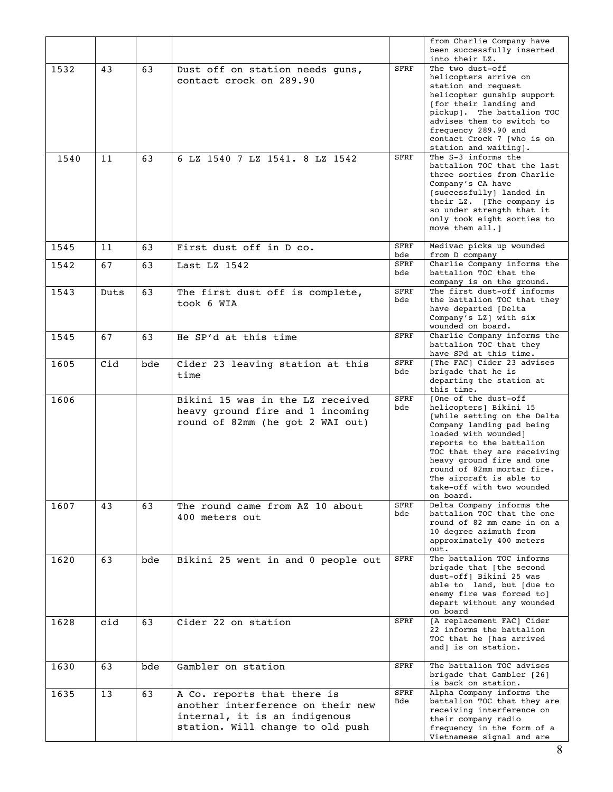|      |      |     |                                                                                                                                       |                    | from Charlie Company have<br>been successfully inserted<br>into their LZ.                                                                                                                                                                                                                                                     |
|------|------|-----|---------------------------------------------------------------------------------------------------------------------------------------|--------------------|-------------------------------------------------------------------------------------------------------------------------------------------------------------------------------------------------------------------------------------------------------------------------------------------------------------------------------|
| 1532 | 43   | 63  | Dust off on station needs guns,<br>contact crock on 289.90                                                                            | SFRF               | The two dust-off<br>helicopters arrive on<br>station and request<br>helicopter qunship support<br>[for their landing and<br>pickup]. The battalion TOC<br>advises them to switch to<br>frequency 289.90 and<br>contact Crock 7 [who is on<br>station and waiting].                                                            |
| 1540 | 11   | 63  | 6 LZ 1540 7 LZ 1541. 8 LZ 1542                                                                                                        | <b>SFRF</b>        | The S-3 informs the<br>battalion TOC that the last<br>three sorties from Charlie<br>Company's CA have<br>[successfully] landed in<br>their LZ. [The company is<br>so under strength that it<br>only took eight sorties to<br>move them all. 1                                                                                 |
| 1545 | 11   | 63  | First dust off in D co.                                                                                                               | SFRF<br>bde        | Medivac picks up wounded<br>from D company                                                                                                                                                                                                                                                                                    |
| 1542 | 67   | 63  | Last LZ $1542$                                                                                                                        | SFRF<br>bde        | Charlie Company informs the<br>battalion TOC that the<br>company is on the ground.                                                                                                                                                                                                                                            |
| 1543 | Duts | 63  | The first dust off is complete,<br>took 6 WIA                                                                                         | SFRF<br>bde        | The first dust-off informs<br>the battalion TOC that they<br>have departed [Delta<br>Company's LZ   with six<br>wounded on board.                                                                                                                                                                                             |
| 1545 | 67   | 63  | He SP'd at this time                                                                                                                  | SFRF               | Charlie Company informs the<br>battalion TOC that they<br>have SPd at this time.                                                                                                                                                                                                                                              |
| 1605 | Cid  | bde | Cider 23 leaving station at this<br>time                                                                                              | SFRF<br>bde        | [The FAC] Cider 23 advises<br>brigade that he is<br>departing the station at<br>this time.                                                                                                                                                                                                                                    |
| 1606 |      |     | Bikini 15 was in the LZ received<br>heavy ground fire and 1 incoming<br>round of 82mm (he got 2 WAI out)                              | <b>SFRF</b><br>bde | [One of the dust-off<br>helicopters] Bikini 15<br>[while setting on the Delta<br>Company landing pad being<br>loaded with wounded]<br>reports to the battalion<br>TOC that they are receiving<br>heavy ground fire and one<br>round of 82mm mortar fire.<br>The aircraft is able to<br>take-off with two wounded<br>on board. |
| 1607 | 43   | 63  | The round came from AZ 10 about<br>400 meters out                                                                                     | <b>SFRF</b><br>bde | Delta Company informs the<br>battalion TOC that the one<br>round of 82 mm came in on a<br>10 degree azimuth from<br>approximately 400 meters<br>out.                                                                                                                                                                          |
| 1620 | 63   | bde | Bikini 25 went in and 0 people out                                                                                                    | SFRF               | The battalion TOC informs<br>brigade that [the second<br>dust-off] Bikini 25 was<br>able to land, but [due to<br>enemy fire was forced to]<br>depart without any wounded<br>on board                                                                                                                                          |
| 1628 | cid  | 63  | Cider 22 on station                                                                                                                   | SFRF               | [A replacement FAC] Cider<br>22 informs the battalion<br>TOC that he [has arrived<br>and] is on station.                                                                                                                                                                                                                      |
| 1630 | 63   | bde | Gambler on station                                                                                                                    | <b>SFRF</b>        | The battalion TOC advises<br>brigade that Gambler [26]<br>is back on station.                                                                                                                                                                                                                                                 |
| 1635 | 13   | 63  | A Co. reports that there is<br>another interference on their new<br>internal, it is an indigenous<br>station. Will change to old push | SFRF<br>Bde        | Alpha Company informs the<br>battalion TOC that they are<br>receiving interference on<br>their company radio<br>frequency in the form of a<br>Vietnamese signal and are                                                                                                                                                       |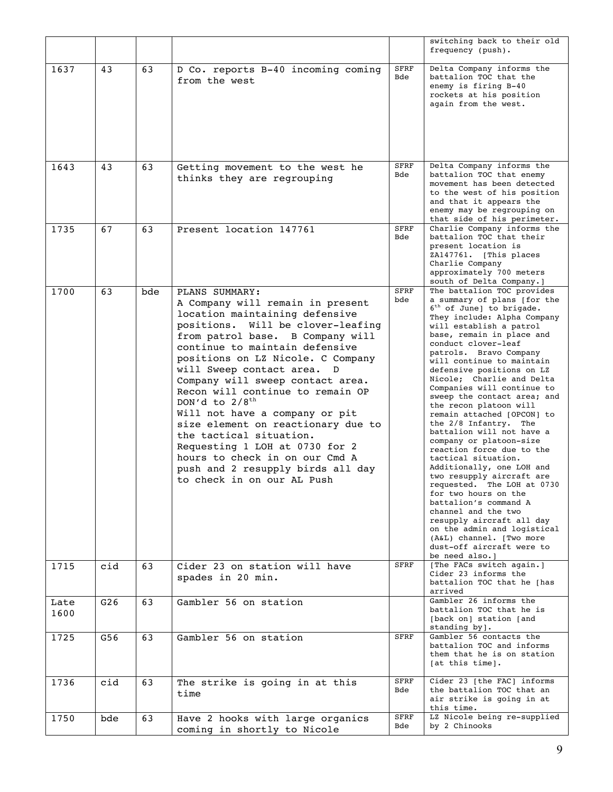|              |     |     |                                                                                                                                                                                                                                                                                                                                                                                                                                                                                                                                                                                                             |                    | switching back to their old<br>frequency (push).                                                                                                                                                                                                                                                                                                                                                                                                                                                                                                                                                                                                                                                                                                                                                                                                                                        |
|--------------|-----|-----|-------------------------------------------------------------------------------------------------------------------------------------------------------------------------------------------------------------------------------------------------------------------------------------------------------------------------------------------------------------------------------------------------------------------------------------------------------------------------------------------------------------------------------------------------------------------------------------------------------------|--------------------|-----------------------------------------------------------------------------------------------------------------------------------------------------------------------------------------------------------------------------------------------------------------------------------------------------------------------------------------------------------------------------------------------------------------------------------------------------------------------------------------------------------------------------------------------------------------------------------------------------------------------------------------------------------------------------------------------------------------------------------------------------------------------------------------------------------------------------------------------------------------------------------------|
| 1637         | 43  | 63  | D Co. reports B-40 incoming coming<br>from the west                                                                                                                                                                                                                                                                                                                                                                                                                                                                                                                                                         | <b>SFRF</b><br>Bde | Delta Company informs the<br>battalion TOC that the<br>enemy is firing B-40<br>rockets at his position<br>again from the west.                                                                                                                                                                                                                                                                                                                                                                                                                                                                                                                                                                                                                                                                                                                                                          |
| 1643         | 43  | 63  | Getting movement to the west he<br>thinks they are regrouping                                                                                                                                                                                                                                                                                                                                                                                                                                                                                                                                               | <b>SFRF</b><br>Bde | Delta Company informs the<br>battalion TOC that enemy<br>movement has been detected<br>to the west of his position<br>and that it appears the<br>enemy may be regrouping on<br>that side of his perimeter.                                                                                                                                                                                                                                                                                                                                                                                                                                                                                                                                                                                                                                                                              |
| 1735         | 67  | 63  | Present location 147761                                                                                                                                                                                                                                                                                                                                                                                                                                                                                                                                                                                     | <b>SFRF</b><br>Bde | Charlie Company informs the<br>battalion TOC that their<br>present location is<br>ZA147761. [This places<br>Charlie Company<br>approximately 700 meters<br>south of Delta Company. 1                                                                                                                                                                                                                                                                                                                                                                                                                                                                                                                                                                                                                                                                                                    |
| 1700         | 63  | bde | PLANS SUMMARY:<br>A Company will remain in present<br>location maintaining defensive<br>positions. Will be clover-leafing<br>from patrol base. B Company will<br>continue to maintain defensive<br>positions on LZ Nicole. C Company<br>will Sweep contact area. D<br>Company will sweep contact area.<br>Recon will continue to remain OP<br>DON'd to $2/8^{th}$<br>Will not have a company or pit<br>size element on reactionary due to<br>the tactical situation.<br>Requesting 1 LOH at 0730 for 2<br>hours to check in on our Cmd A<br>push and 2 resupply birds all day<br>to check in on our AL Push | <b>SFRF</b><br>bde | The battalion TOC provides<br>a summary of plans [for the<br>$6th$ of June] to brigade.<br>They include: Alpha Company<br>will establish a patrol<br>base, remain in place and<br>conduct clover-leaf<br>patrols. Bravo Company<br>will continue to maintain<br>defensive positions on LZ<br>Nicole; Charlie and Delta<br>Companies will continue to<br>sweep the contact area; and<br>the recon platoon will<br>remain attached [OPCON] to<br>the 2/8 Infantry. The<br>battalion will not have a<br>company or platoon-size<br>reaction force due to the<br>tactical situation.<br>Additionally, one LOH and<br>two resupply aircraft are<br>requested. The LOH at 0730<br>for two hours on the<br>battalion's command A<br>channel and the two<br>resupply aircraft all day<br>on the admin and logistical<br>(A&L) channel. [Two more<br>dust-off aircraft were to<br>be need also.] |
| 1715         | cid | 63  | Cider 23 on station will have<br>spades in 20 min.                                                                                                                                                                                                                                                                                                                                                                                                                                                                                                                                                          | <b>SFRF</b>        | [The FACs switch again.]<br>Cider 23 informs the<br>battalion TOC that he [has<br>arrived                                                                                                                                                                                                                                                                                                                                                                                                                                                                                                                                                                                                                                                                                                                                                                                               |
| Late<br>1600 | G26 | 63  | Gambler 56 on station                                                                                                                                                                                                                                                                                                                                                                                                                                                                                                                                                                                       |                    | Gambler 26 informs the<br>battalion TOC that he is<br>[back on] station [and<br>$standing by$ ].                                                                                                                                                                                                                                                                                                                                                                                                                                                                                                                                                                                                                                                                                                                                                                                        |
| 1725         | G56 | 63  | Gambler 56 on station                                                                                                                                                                                                                                                                                                                                                                                                                                                                                                                                                                                       | SFRF               | Gambler 56 contacts the<br>battalion TOC and informs<br>them that he is on station<br>[at this time].                                                                                                                                                                                                                                                                                                                                                                                                                                                                                                                                                                                                                                                                                                                                                                                   |
| 1736         | cid | 63  | The strike is going in at this<br>time                                                                                                                                                                                                                                                                                                                                                                                                                                                                                                                                                                      | SFRF<br>Bde        | Cider 23 [the FAC] informs<br>the battalion TOC that an<br>air strike is going in at<br>this time.                                                                                                                                                                                                                                                                                                                                                                                                                                                                                                                                                                                                                                                                                                                                                                                      |
| 1750         | bde | 63  | Have 2 hooks with large organics<br>coming in shortly to Nicole                                                                                                                                                                                                                                                                                                                                                                                                                                                                                                                                             | SFRF<br>Bde        | LZ Nicole being re-supplied<br>by 2 Chinooks                                                                                                                                                                                                                                                                                                                                                                                                                                                                                                                                                                                                                                                                                                                                                                                                                                            |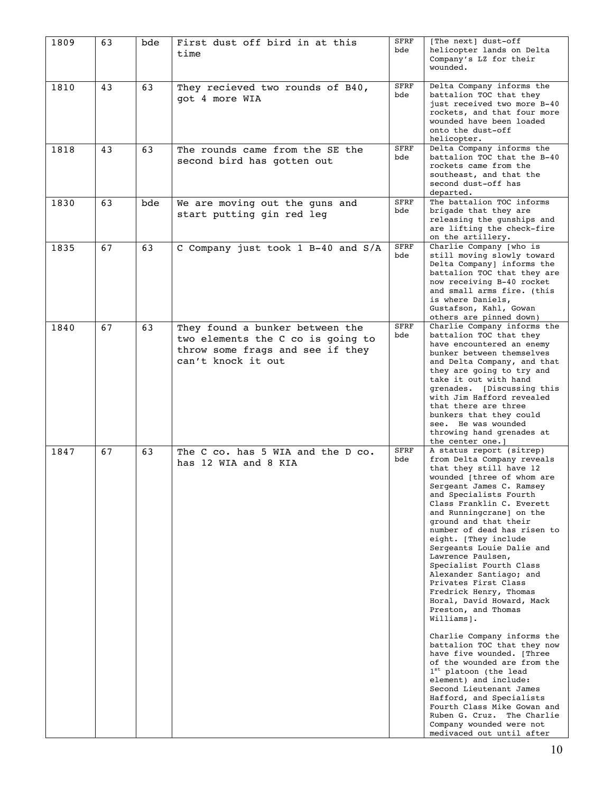| 1809 | 63 | bde | First dust off bird in at this<br>time                                                                                         | <b>SFRF</b><br>bde | [The next] dust-off<br>helicopter lands on Delta<br>Company's LZ for their<br>wounded.                                                                                                                                                                                                                                                                                                                                                                                                                                                                                                                                                                                                                                                                                                                                                                                                                          |
|------|----|-----|--------------------------------------------------------------------------------------------------------------------------------|--------------------|-----------------------------------------------------------------------------------------------------------------------------------------------------------------------------------------------------------------------------------------------------------------------------------------------------------------------------------------------------------------------------------------------------------------------------------------------------------------------------------------------------------------------------------------------------------------------------------------------------------------------------------------------------------------------------------------------------------------------------------------------------------------------------------------------------------------------------------------------------------------------------------------------------------------|
| 1810 | 43 | 63  | They recieved two rounds of B40,<br>got 4 more WIA                                                                             | <b>SFRF</b><br>bde | Delta Company informs the<br>battalion TOC that they<br>just received two more B-40<br>rockets, and that four more<br>wounded have been loaded<br>onto the dust-off<br>helicopter.                                                                                                                                                                                                                                                                                                                                                                                                                                                                                                                                                                                                                                                                                                                              |
| 1818 | 43 | 63  | The rounds came from the SE the<br>second bird has gotten out                                                                  | <b>SFRF</b><br>bde | Delta Company informs the<br>battalion TOC that the B-40<br>rockets came from the<br>southeast, and that the<br>second dust-off has<br>departed.                                                                                                                                                                                                                                                                                                                                                                                                                                                                                                                                                                                                                                                                                                                                                                |
| 1830 | 63 | bde | We are moving out the guns and<br>start putting gin red leg                                                                    | <b>SFRF</b><br>bde | The battalion TOC informs<br>brigade that they are<br>releasing the gunships and<br>are lifting the check-fire<br>on the artillery.                                                                                                                                                                                                                                                                                                                                                                                                                                                                                                                                                                                                                                                                                                                                                                             |
| 1835 | 67 | 63  | C Company just took 1 B-40 and S/A                                                                                             | SFRF<br>bde        | Charlie Company [who is<br>still moving slowly toward<br>Delta Company] informs the<br>battalion TOC that they are<br>now receiving B-40 rocket<br>and small arms fire. (this<br>is where Daniels,<br>Gustafson, Kahl, Gowan<br>others are pinned down)                                                                                                                                                                                                                                                                                                                                                                                                                                                                                                                                                                                                                                                         |
| 1840 | 67 | 63  | They found a bunker between the<br>two elements the C co is going to<br>throw some frags and see if they<br>can't knock it out | <b>SFRF</b><br>bde | Charlie Company informs the<br>battalion TOC that they<br>have encountered an enemy<br>bunker between themselves<br>and Delta Company, and that<br>they are going to try and<br>take it out with hand<br>grenades. [Discussing this<br>with Jim Hafford revealed<br>that there are three<br>bunkers that they could<br>see. He was wounded<br>throwing hand grenades at<br>the center one. 1                                                                                                                                                                                                                                                                                                                                                                                                                                                                                                                    |
| 1847 | 67 | 63  | The C co. has 5 WIA and the D co.<br>has 12 WIA and 8 KIA                                                                      | <b>SFRF</b><br>bde | A status report (sitrep)<br>from Delta Company reveals<br>that they still have 12<br>wounded [three of whom are<br>Sergeant James C. Ramsey<br>and Specialists Fourth<br>Class Franklin C. Everett<br>and Runningcrane] on the<br>ground and that their<br>number of dead has risen to<br>eight. [They include<br>Sergeants Louie Dalie and<br>Lawrence Paulsen,<br>Specialist Fourth Class<br>Alexander Santiago; and<br>Privates First Class<br>Fredrick Henry, Thomas<br>Horal, David Howard, Mack<br>Preston, and Thomas<br>Williams].<br>Charlie Company informs the<br>battalion TOC that they now<br>have five wounded. [Three<br>of the wounded are from the<br>1 <sup>st</sup> platoon (the lead<br>element) and include:<br>Second Lieutenant James<br>Hafford, and Specialists<br>Fourth Class Mike Gowan and<br>Ruben G. Cruz. The Charlie<br>Company wounded were not<br>medivaced out until after |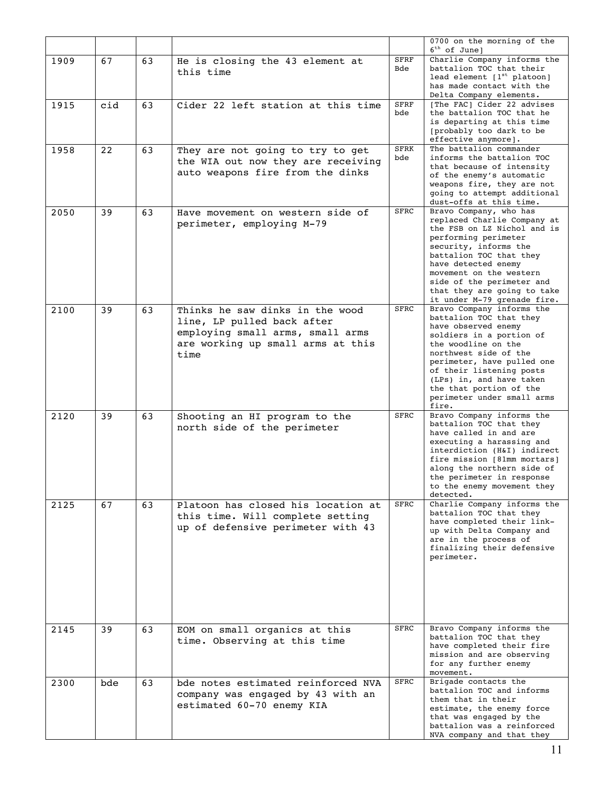|      |     |    |                                                                                                                                                |                    | 0700 on the morning of the<br>$6th$ of June]                                                                                                                                                                                                                                                                    |
|------|-----|----|------------------------------------------------------------------------------------------------------------------------------------------------|--------------------|-----------------------------------------------------------------------------------------------------------------------------------------------------------------------------------------------------------------------------------------------------------------------------------------------------------------|
| 1909 | 67  | 63 | He is closing the 43 element at<br>this time                                                                                                   | <b>SFRF</b><br>Bde | Charlie Company informs the<br>battalion TOC that their<br>lead element $[1st$ platoon]<br>has made contact with the<br>Delta Company elements.                                                                                                                                                                 |
| 1915 | cid | 63 | Cider 22 left station at this time                                                                                                             | <b>SFRF</b><br>bde | [The FAC] Cider 22 advises<br>the battalion TOC that he<br>is departing at this time<br>[probably too dark to be<br>effective anymore].                                                                                                                                                                         |
| 1958 | 22  | 63 | They are not going to try to get<br>the WIA out now they are receiving<br>auto weapons fire from the dinks                                     | <b>SFRK</b><br>bde | The battalion commander<br>informs the battalion TOC<br>that because of intensity<br>of the enemy's automatic<br>weapons fire, they are not<br>going to attempt additional<br>dust-offs at this time.                                                                                                           |
| 2050 | 39  | 63 | Have movement on western side of<br>perimeter, employing M-79                                                                                  | <b>SFRC</b>        | Bravo Company, who has<br>replaced Charlie Company at<br>the FSB on LZ Nichol and is<br>performing perimeter<br>security, informs the<br>battalion TOC that they<br>have detected enemy<br>movement on the western<br>side of the perimeter and<br>that they are going to take<br>it under M-79 grenade fire.   |
| 2100 | 39  | 63 | Thinks he saw dinks in the wood<br>line, LP pulled back after<br>employing small arms, small arms<br>are working up small arms at this<br>time | <b>SFRC</b>        | Bravo Company informs the<br>battalion TOC that they<br>have observed enemy<br>soldiers in a portion of<br>the woodline on the<br>northwest side of the<br>perimeter, have pulled one<br>of their listening posts<br>(LPs) in, and have taken<br>the that portion of the<br>perimeter under small arms<br>fire. |
| 2120 | 39  | 63 | Shooting an HI program to the<br>north side of the perimeter                                                                                   | <b>SFRC</b>        | Bravo Company informs the<br>battalion TOC that they<br>have called in and are<br>executing a harassing and<br>interdiction (H&I) indirect<br>fire mission [81mm mortars]<br>along the northern side of<br>the perimeter in response<br>to the enemy movement they<br>detected.                                 |
| 2125 | 67  | 63 | Platoon has closed his location at<br>this time. Will complete setting<br>up of defensive perimeter with 43                                    | SFRC               | Charlie Company informs the<br>battalion TOC that they<br>have completed their link-<br>up with Delta Company and<br>are in the process of<br>finalizing their defensive<br>perimeter.                                                                                                                          |
| 2145 | 39  | 63 | EOM on small organics at this<br>time. Observing at this time                                                                                  | SFRC               | Bravo Company informs the<br>battalion TOC that they<br>have completed their fire<br>mission and are observing<br>for any further enemy<br>movement.                                                                                                                                                            |
| 2300 | bde | 63 | bde notes estimated reinforced NVA<br>company was engaged by 43 with an<br>estimated 60-70 enemy KIA                                           | SFRC               | Brigade contacts the<br>battalion TOC and informs<br>them that in their<br>estimate, the enemy force<br>that was engaged by the<br>battalion was a reinforced<br>NVA company and that they                                                                                                                      |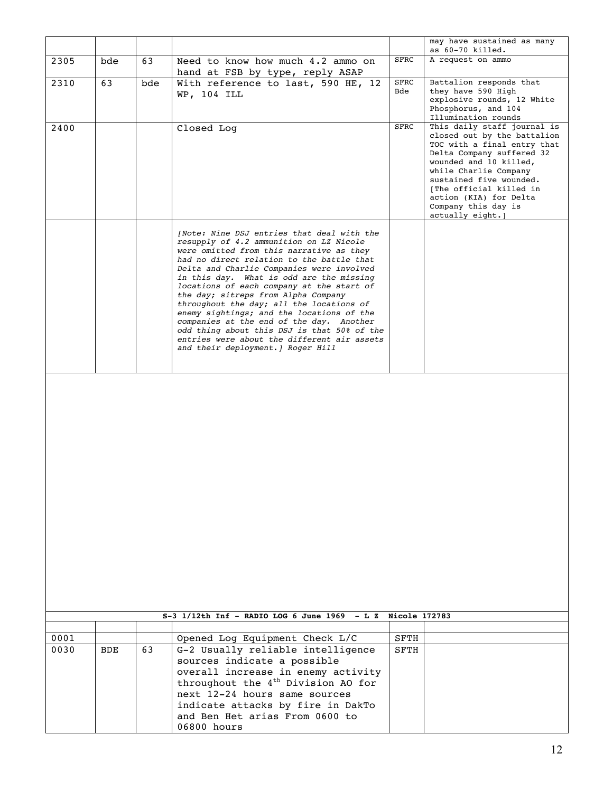|              |            |     |                                                                                                                                                                                                                                                                                                                                                                                                                                                                                                                                                                                                                                      |               | may have sustained as many<br>as 60-70 killed.                                                                                                                                                                                                                                                        |
|--------------|------------|-----|--------------------------------------------------------------------------------------------------------------------------------------------------------------------------------------------------------------------------------------------------------------------------------------------------------------------------------------------------------------------------------------------------------------------------------------------------------------------------------------------------------------------------------------------------------------------------------------------------------------------------------------|---------------|-------------------------------------------------------------------------------------------------------------------------------------------------------------------------------------------------------------------------------------------------------------------------------------------------------|
| 2305         | bde        | 63  | Need to know how much 4.2 ammo on<br>hand at FSB by type, reply ASAP                                                                                                                                                                                                                                                                                                                                                                                                                                                                                                                                                                 | SFRC          | A request on ammo                                                                                                                                                                                                                                                                                     |
| 2310         | 63         | bde | With reference to last, 590 HE, 12<br>WP, 104 ILL                                                                                                                                                                                                                                                                                                                                                                                                                                                                                                                                                                                    | SFRC<br>Bde   | Battalion responds that<br>they have 590 High<br>explosive rounds, 12 White<br>Phosphorus, and 104<br>Illumination rounds                                                                                                                                                                             |
| 2400         |            |     | Closed Log                                                                                                                                                                                                                                                                                                                                                                                                                                                                                                                                                                                                                           | SFRC          | This daily staff journal is<br>closed out by the battalion<br>TOC with a final entry that<br>Delta Company suffered 32<br>wounded and 10 killed,<br>while Charlie Company<br>sustained five wounded.<br>[The official killed in<br>action (KIA) for Delta<br>Company this day is<br>actually eight. 1 |
|              |            |     | [Note: Nine DSJ entries that deal with the<br>resupply of 4.2 ammunition on LZ Nicole<br>were omitted from this narrative as they<br>had no direct relation to the battle that<br>Delta and Charlie Companies were involved<br>in this day. What is odd are the missing<br>locations of each company at the start of<br>the day; sitreps from Alpha Company<br>throughout the day; all the locations of<br>enemy sightings; and the locations of the<br>companies at the end of the day. Another<br>odd thing about this DSJ is that 50% of the<br>entries were about the different air assets<br>and their deployment.   Roger Hill |               |                                                                                                                                                                                                                                                                                                       |
|              |            |     | $S-3$ 1/12th Inf - RADIO LOG 6 June 1969 - L Z                                                                                                                                                                                                                                                                                                                                                                                                                                                                                                                                                                                       | Nicole 172783 |                                                                                                                                                                                                                                                                                                       |
|              |            |     |                                                                                                                                                                                                                                                                                                                                                                                                                                                                                                                                                                                                                                      |               |                                                                                                                                                                                                                                                                                                       |
| 0001<br>0030 |            | 63  | Opened Log Equipment Check L/C                                                                                                                                                                                                                                                                                                                                                                                                                                                                                                                                                                                                       | SFTH          |                                                                                                                                                                                                                                                                                                       |
|              | <b>BDE</b> |     | G-2 Usually reliable intelligence<br>sources indicate a possible<br>overall increase in enemy activity<br>throughout the 4 <sup>th</sup> Division AO for<br>next 12-24 hours same sources<br>indicate attacks by fire in DakTo<br>and Ben Het arias From 0600 to                                                                                                                                                                                                                                                                                                                                                                     | SFTH          |                                                                                                                                                                                                                                                                                                       |
|              |            |     | 06800 hours                                                                                                                                                                                                                                                                                                                                                                                                                                                                                                                                                                                                                          |               |                                                                                                                                                                                                                                                                                                       |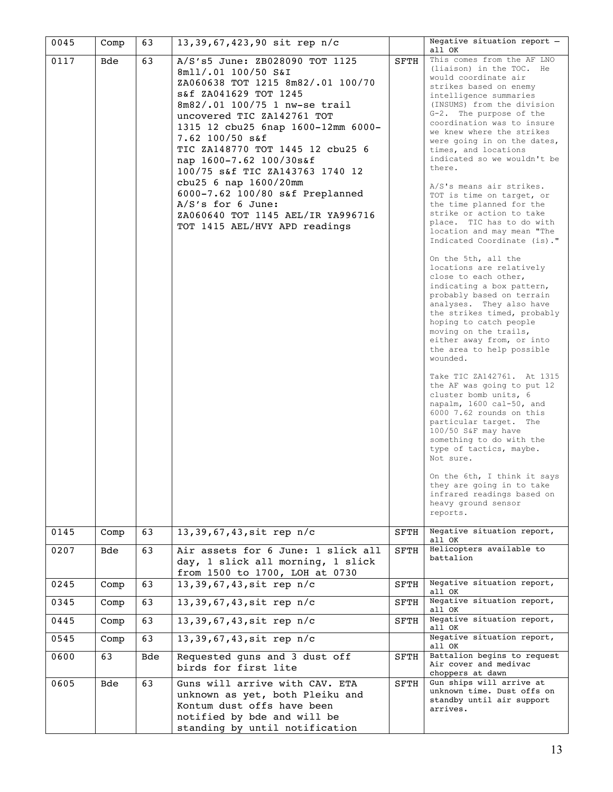| 0045 | Comp       | 63  | 13,39,67,423,90 sit rep n/c                                                                                                                                                                                                                                                                                                                                                                                                                                                                            |             | Negative situation report -<br>all OK                                                                                                                                                                                                                                                                                                                                                                                                                                                                                                                                                                                                                                                                                                                                                                                                                                                                                                                                                                                                                                                                                                                                                                                                                                                     |
|------|------------|-----|--------------------------------------------------------------------------------------------------------------------------------------------------------------------------------------------------------------------------------------------------------------------------------------------------------------------------------------------------------------------------------------------------------------------------------------------------------------------------------------------------------|-------------|-------------------------------------------------------------------------------------------------------------------------------------------------------------------------------------------------------------------------------------------------------------------------------------------------------------------------------------------------------------------------------------------------------------------------------------------------------------------------------------------------------------------------------------------------------------------------------------------------------------------------------------------------------------------------------------------------------------------------------------------------------------------------------------------------------------------------------------------------------------------------------------------------------------------------------------------------------------------------------------------------------------------------------------------------------------------------------------------------------------------------------------------------------------------------------------------------------------------------------------------------------------------------------------------|
| 0117 | Bde        | 63  | A/S's5 June: ZB028090 TOT 1125<br>8mll/.01 100/50 S&I<br>ZA060638 TOT 1215 8m82/.01 100/70<br>S&f ZA041629 TOT 1245<br>8m82/.01 100/75 1 nw-se trail<br>uncovered TIC ZA142761 TOT<br>1315 12 cbu25 6nap 1600-12mm 6000-<br>7.62 100/50 s&f<br>TIC ZA148770 TOT 1445 12 cbu25 6<br>nap 1600-7.62 100/30s&f<br>100/75 s&f TIC ZA143763 1740 12<br>cbu25 6 nap 1600/20mm<br>6000-7.62 100/80 s&f Preplanned<br>$A/S's$ for 6 June:<br>ZA060640 TOT 1145 AEL/IR YA996716<br>TOT 1415 AEL/HVY APD readings | SFTH        | This comes from the AF LNO<br>(liaison) in the TOC. He<br>would coordinate air<br>strikes based on enemy<br>intelligence summaries<br>(INSUMS) from the division<br>G-2. The purpose of the<br>coordination was to insure<br>we knew where the strikes<br>were going in on the dates,<br>times, and locations<br>indicated so we wouldn't be<br>there.<br>A/S's means air strikes.<br>TOT is time on target, or<br>the time planned for the<br>strike or action to take<br>place. TIC has to do with<br>location and may mean "The<br>Indicated Coordinate (is)."<br>On the 5th, all the<br>locations are relatively<br>close to each other,<br>indicating a box pattern,<br>probably based on terrain<br>analyses. They also have<br>the strikes timed, probably<br>hoping to catch people<br>moving on the trails,<br>either away from, or into<br>the area to help possible<br>wounded.<br>Take TIC ZA142761. At 1315<br>the AF was going to put 12<br>cluster bomb units, 6<br>napalm, 1600 cal-50, and<br>6000 7.62 rounds on this<br>particular target. The<br>100/50 S&F may have<br>something to do with the<br>type of tactics, maybe.<br>Not sure.<br>On the 6th, I think it says<br>they are going in to take<br>infrared readings based on<br>heavy ground sensor<br>reports. |
| 0145 | Comp       | 63  | $13, 39, 67, 43, \text{sit rep } n/c$                                                                                                                                                                                                                                                                                                                                                                                                                                                                  | <b>SFTH</b> | Negative situation report,<br>all OK                                                                                                                                                                                                                                                                                                                                                                                                                                                                                                                                                                                                                                                                                                                                                                                                                                                                                                                                                                                                                                                                                                                                                                                                                                                      |
| 0207 | Bde        | 63  | Air assets for 6 June: 1 slick all<br>day, 1 slick all morning, 1 slick<br>from 1500 to 1700, LOH at 0730                                                                                                                                                                                                                                                                                                                                                                                              | <b>SFTH</b> | Helicopters available to<br>battalion                                                                                                                                                                                                                                                                                                                                                                                                                                                                                                                                                                                                                                                                                                                                                                                                                                                                                                                                                                                                                                                                                                                                                                                                                                                     |
| 0245 | Comp       | 63  | 13,39,67,43, sit rep n/c                                                                                                                                                                                                                                                                                                                                                                                                                                                                               | SFTH        | Negative situation report,<br>all OK                                                                                                                                                                                                                                                                                                                                                                                                                                                                                                                                                                                                                                                                                                                                                                                                                                                                                                                                                                                                                                                                                                                                                                                                                                                      |
| 0345 | Comp       | 63  | 13,39,67,43, sit rep n/c                                                                                                                                                                                                                                                                                                                                                                                                                                                                               | SFTH        | Negative situation report,<br>all OK                                                                                                                                                                                                                                                                                                                                                                                                                                                                                                                                                                                                                                                                                                                                                                                                                                                                                                                                                                                                                                                                                                                                                                                                                                                      |
| 0445 | Comp       | 63  | 13,39,67,43, sit rep n/c                                                                                                                                                                                                                                                                                                                                                                                                                                                                               | SFTH        | Negative situation report,<br>all OK                                                                                                                                                                                                                                                                                                                                                                                                                                                                                                                                                                                                                                                                                                                                                                                                                                                                                                                                                                                                                                                                                                                                                                                                                                                      |
| 0545 | Comp       | 63  | 13,39,67,43, sit rep n/c                                                                                                                                                                                                                                                                                                                                                                                                                                                                               |             | Negative situation report,<br>all OK                                                                                                                                                                                                                                                                                                                                                                                                                                                                                                                                                                                                                                                                                                                                                                                                                                                                                                                                                                                                                                                                                                                                                                                                                                                      |
| 0600 | 63         | Bde | Requested guns and 3 dust off<br>birds for first lite                                                                                                                                                                                                                                                                                                                                                                                                                                                  | <b>SFTH</b> | Battalion begins to request<br>Air cover and medivac<br>choppers at dawn                                                                                                                                                                                                                                                                                                                                                                                                                                                                                                                                                                                                                                                                                                                                                                                                                                                                                                                                                                                                                                                                                                                                                                                                                  |
| 0605 | <b>Bde</b> | 63  | Guns will arrive with CAV. ETA<br>unknown as yet, both Pleiku and<br>Kontum dust offs have been<br>notified by bde and will be<br>standing by until notification                                                                                                                                                                                                                                                                                                                                       | SFTH        | Gun ships will arrive at<br>unknown time. Dust offs on<br>standby until air support<br>arrives.                                                                                                                                                                                                                                                                                                                                                                                                                                                                                                                                                                                                                                                                                                                                                                                                                                                                                                                                                                                                                                                                                                                                                                                           |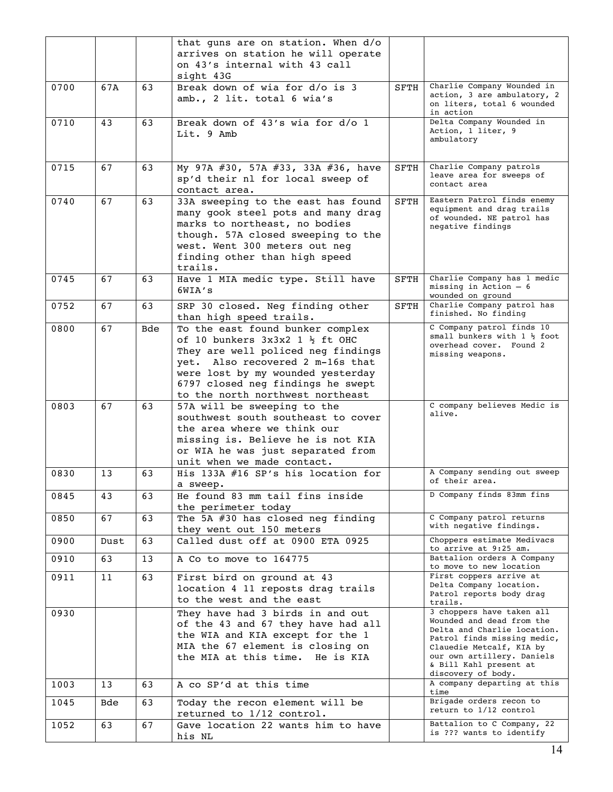|      |      |            | that guns are on station. When d/o           |             |                                                         |
|------|------|------------|----------------------------------------------|-------------|---------------------------------------------------------|
|      |      |            | arrives on station he will operate           |             |                                                         |
|      |      |            | on 43's internal with 43 call                |             |                                                         |
|      |      |            | sight 43G                                    |             |                                                         |
| 0700 | 67A  | 63         | Break down of wia for d/o is 3               | SFTH        | Charlie Company Wounded in                              |
|      |      |            | amb., 2 lit. total 6 wia's                   |             | action, 3 are ambulatory, 2                             |
|      |      |            |                                              |             | on liters, total 6 wounded                              |
| 0710 | 43   | 63         | Break down of 43's wia for d/o 1             |             | in action<br>Delta Company Wounded in                   |
|      |      |            |                                              |             | Action, 1 liter, 9                                      |
|      |      |            | Lit. 9 Amb                                   |             | ambulatory                                              |
|      |      |            |                                              |             |                                                         |
|      |      |            |                                              |             | Charlie Company patrols                                 |
| 0715 | 67   | 63         | My 97A #30, 57A #33, 33A #36, have           | SFTH        | leave area for sweeps of                                |
|      |      |            | sp'd their nl for local sweep of             |             | contact area                                            |
|      |      |            | contact area.                                |             |                                                         |
| 0740 | 67   | 63         | 33A sweeping to the east has found           | <b>SFTH</b> | Eastern Patrol finds enemy<br>equipment and drag trails |
|      |      |            | many gook steel pots and many drag           |             | of wounded. NE patrol has                               |
|      |      |            | marks to northeast, no bodies                |             | negative findings                                       |
|      |      |            | though. 57A closed sweeping to the           |             |                                                         |
|      |      |            | west. Went 300 meters out neg                |             |                                                         |
|      |      |            | finding other than high speed                |             |                                                         |
|      |      |            | trails.                                      |             |                                                         |
| 0745 | 67   | 63         | Have 1 MIA medic type. Still have            | SFTH        | Charlie Company has 1 medic<br>missing in Action $-6$   |
|      |      |            | 6WIA's                                       |             | wounded on ground                                       |
| 0752 | 67   | 63         | SRP 30 closed. Neg finding other             | SFTH        | Charlie Company patrol has                              |
|      |      |            | than high speed trails.                      |             | finished. No finding                                    |
| 0800 | 67   | <b>Bde</b> | To the east found bunker complex             |             | C Company patrol finds 10                               |
|      |      |            | of 10 bunkers $3x3x2$ 1 $\frac{1}{2}$ ft OHC |             | small bunkers with $1 \frac{1}{2}$ foot                 |
|      |      |            | They are well policed neg findings           |             | overhead cover. Found 2<br>missing weapons.             |
|      |      |            | yet. Also recovered 2 m-16s that             |             |                                                         |
|      |      |            | were lost by my wounded yesterday            |             |                                                         |
|      |      |            | 6797 closed neg findings he swept            |             |                                                         |
|      |      |            | to the north northwest northeast             |             |                                                         |
| 0803 | 67   | 63         | 57A will be sweeping to the                  |             | C company believes Medic is                             |
|      |      |            | southwest south southeast to cover           |             | alive.                                                  |
|      |      |            | the area where we think our                  |             |                                                         |
|      |      |            | missing is. Believe he is not KIA            |             |                                                         |
|      |      |            | or WIA he was just separated from            |             |                                                         |
|      |      |            | unit when we made contact.                   |             |                                                         |
| 0830 | 13   | 63         | His 133A #16 SP's his location for           |             | A Company sending out sweep                             |
|      |      |            | a sweep.                                     |             | of their area.                                          |
| 0845 | 43   | 63         | He found 83 mm tail fins inside              |             | D Company finds 83mm fins                               |
|      |      |            | the perimeter today                          |             |                                                         |
| 0850 | 67   | 63         | The 5A #30 has closed neg finding            |             | C Company patrol returns                                |
|      |      |            | they went out 150 meters                     |             | with negative findings.                                 |
| 0900 | Dust | 63         | Called dust off at 0900 ETA 0925             |             | Choppers estimate Medivacs                              |
|      |      |            |                                              |             | to arrive at 9:25 am.                                   |
| 0910 | 63   | 13         | A Co to move to 164775                       |             | Battalion orders A Company                              |
| 0911 | 11   | 63         | First bird on ground at 43                   |             | to move to new location<br>First coppers arrive at      |
|      |      |            | location 4 11 reposts drag trails            |             | Delta Company location.                                 |
|      |      |            |                                              |             | Patrol reports body drag                                |
|      |      |            | to the west and the east                     |             | trails.                                                 |
| 0930 |      |            | They have had 3 birds in and out             |             | 3 choppers have taken all<br>Wounded and dead from the  |
|      |      |            | of the 43 and 67 they have had all           |             | Delta and Charlie location.                             |
|      |      |            | the WIA and KIA except for the 1             |             | Patrol finds missing medic,                             |
|      |      |            | MIA the 67 element is closing on             |             | Clauedie Metcalf, KIA by                                |
|      |      |            | the MIA at this time. He is KIA              |             | our own artillery. Daniels<br>& Bill Kahl present at    |
|      |      |            |                                              |             | discovery of body.                                      |
| 1003 | 13   | 63         | A co SP'd at this time                       |             | A company departing at this                             |
|      |      |            |                                              |             | time                                                    |
| 1045 | Bde  | 63         | Today the recon element will be              |             | Brigade orders recon to<br>return to 1/12 control       |
|      |      |            | returned to 1/12 control.                    |             |                                                         |
| 1052 | 63   | 67         | Gave location 22 wants him to have           |             | Battalion to C Company, 22<br>is ??? wants to identify  |
|      |      |            | his NL                                       |             |                                                         |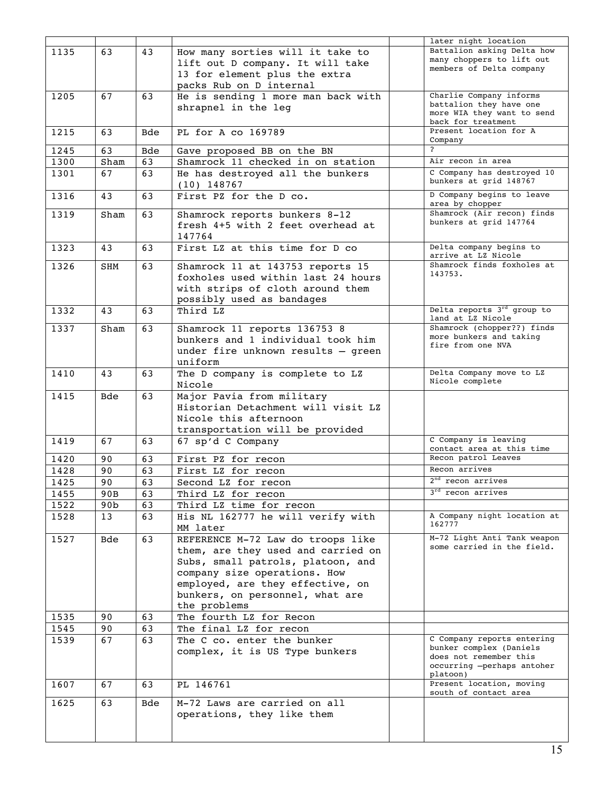|              |                 |                  |                                                                         | later night location                                  |
|--------------|-----------------|------------------|-------------------------------------------------------------------------|-------------------------------------------------------|
| 1135         | 63              | 43               | How many sorties will it take to                                        | Battalion asking Delta how                            |
|              |                 |                  | lift out D company. It will take                                        | many choppers to lift out<br>members of Delta company |
|              |                 |                  | 13 for element plus the extra                                           |                                                       |
|              |                 |                  | packs Rub on D internal                                                 |                                                       |
| 1205         | 67              | 63               | He is sending 1 more man back with                                      | Charlie Company informs                               |
|              |                 |                  | shrapnel in the leg                                                     | battalion they have one<br>more WIA they want to send |
|              |                 |                  |                                                                         | back for treatment                                    |
| 1215         | 63              | <b>Bde</b>       | PL for A co 169789                                                      | Present location for A                                |
|              | 63              |                  |                                                                         | Company<br>$\overline{2}$                             |
| 1245<br>1300 |                 | <b>Bde</b><br>63 | Gave proposed BB on the BN<br>Shamrock 11 checked in on station         | Air recon in area                                     |
| 1301         | Sham<br>67      | 63               |                                                                         | C Company has destroyed 10                            |
|              |                 |                  | He has destroyed all the bunkers<br>$(10)$ 148767                       | bunkers at grid 148767                                |
| 1316         | 43              | 63               | First PZ for the D co.                                                  | D Company begins to leave<br>area by chopper          |
| 1319         | Sham            | 63               | Shamrock reports bunkers 8-12                                           | Shamrock (Air recon) finds                            |
|              |                 |                  | fresh 4+5 with 2 feet overhead at                                       | bunkers at grid 147764                                |
|              |                 |                  | 147764                                                                  |                                                       |
| 1323         | 43              | 63               | First LZ at this time for D co                                          | Delta company begins to<br>arrive at LZ Nicole        |
| 1326         | SHM             | 63               | Shamrock 11 at 143753 reports 15                                        | Shamrock finds foxholes at                            |
|              |                 |                  | foxholes used within last 24 hours                                      | 143753.                                               |
|              |                 |                  | with strips of cloth around them                                        |                                                       |
|              |                 |                  | possibly used as bandages                                               |                                                       |
| 1332         | 43              | 63               | Third LZ                                                                | Delta reports 3rd group to                            |
| 1337         | Sham            | 63               | Shamrock 11 reports 136753 8                                            | land at LZ Nicole<br>Shamrock (chopper??) finds       |
|              |                 |                  | bunkers and 1 individual took him                                       | more bunkers and taking                               |
|              |                 |                  | under fire unknown results - green                                      | fire from one NVA                                     |
|              |                 |                  | uniform                                                                 |                                                       |
| 1410         | 43              | 63               | The D company is complete to LZ                                         | Delta Company move to LZ                              |
|              |                 |                  | Nicole                                                                  | Nicole complete                                       |
| 1415         | <b>Bde</b>      | 63               | Major Pavia from military                                               |                                                       |
|              |                 |                  | Historian Detachment will visit LZ                                      |                                                       |
|              |                 |                  | Nicole this afternoon                                                   |                                                       |
|              |                 |                  | transportation will be provided                                         |                                                       |
| 1419         | 67              | 63               | 67 sp'd C Company                                                       | C Company is leaving<br>contact area at this time     |
| 1420         | 90              | 63               | First PZ for recon                                                      | Recon patrol Leaves                                   |
| 1428         | 90              | 63               | First LZ for recon                                                      | Recon arrives                                         |
| 1425         | 90              | 63               | Second LZ for recon                                                     | 2 <sup>nd</sup> recon arrives                         |
| 1455         | 90B             | 63               | Third LZ for recon                                                      | 3 <sup>rd</sup> recon arrives                         |
| 1522         | 90 <sub>b</sub> | 63               | Third LZ time for recon                                                 |                                                       |
| 1528         | 13              | 63               | His NL 162777 he will verify with                                       | A Company night location at<br>162777                 |
|              |                 |                  | MM later                                                                | M-72 Light Anti Tank weapon                           |
| 1527         | Bde             | 63               | REFERENCE M-72 Law do troops like<br>them, are they used and carried on | some carried in the field.                            |
|              |                 |                  | Subs, small patrols, platoon, and                                       |                                                       |
|              |                 |                  | company size operations. How                                            |                                                       |
|              |                 |                  | employed, are they effective, on                                        |                                                       |
|              |                 |                  | bunkers, on personnel, what are                                         |                                                       |
|              |                 |                  | the problems                                                            |                                                       |
| 1535         | 90              | 63               | The fourth LZ for Recon                                                 |                                                       |
| 1545         | 90              | 63               | The final LZ for recon                                                  |                                                       |
| 1539         | 67              | 63               | The C co. enter the bunker                                              | C Company reports entering                            |
|              |                 |                  | complex, it is US Type bunkers                                          | bunker complex (Daniels<br>does not remember this     |
|              |                 |                  |                                                                         | occurring -perhaps antoher                            |
|              |                 |                  |                                                                         | platoon)                                              |
| 1607         | 67              | 63               | PL 146761                                                               | Present location, moving<br>south of contact area     |
| 1625         | 63              | Bde              | M-72 Laws are carried on all                                            |                                                       |
|              |                 |                  | operations, they like them                                              |                                                       |
|              |                 |                  |                                                                         |                                                       |
|              |                 |                  |                                                                         |                                                       |